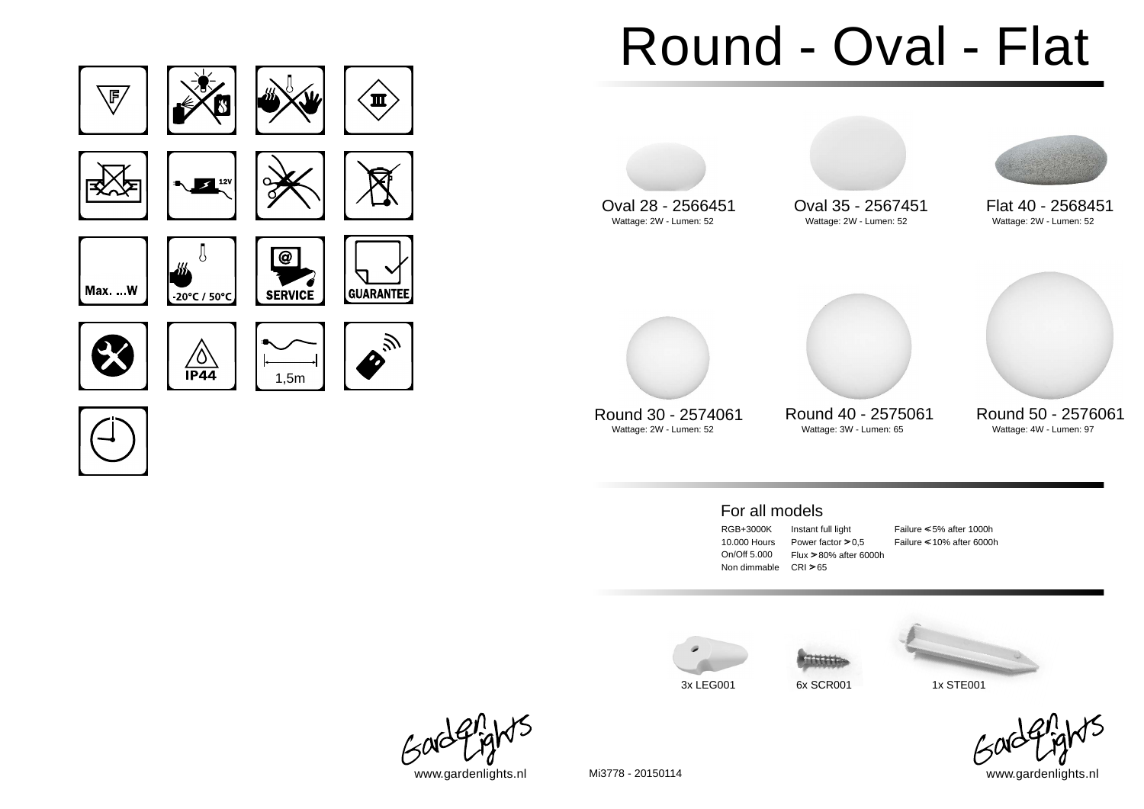



# Round - Oval - Flat



Wattage: 3W - Lumen: 65

Round 30 - 2574061 Round 40 - 2575061 Round 50 - 2576061<br>Wattage: 2W - Lumen: 52 Wattage: 3W - Lumen: 65 Wattage: 4W - Lumen: 97

### For all models

RGB+3000K 10.000 Hours On/Off 5.000 Non dimmable CRI > 65

Instant full light Power factor  $> 0.5$ Flux > 80% after 6000h

Failure < <5% after 1000h Failure < <10% after 6000h







www.gardenlights.nl www.gardenlights.nl Mi3778 - 20150114